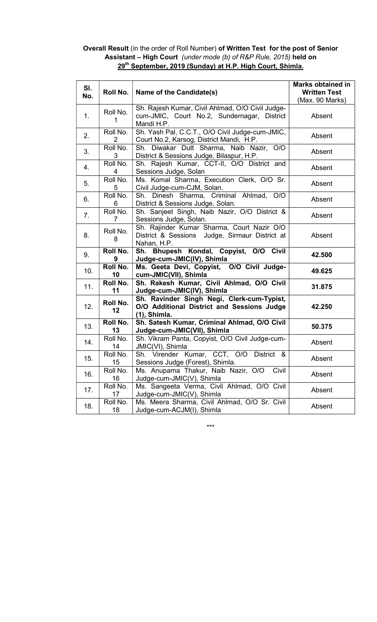## Overall Result (in the order of Roll Number) of Written Test for the post of Senior Assistant – High Court (under mode (b) of R&P Rule, 2015) held on 29<sup>th</sup> September, 2019 (Sunday) at H.P. High Court, Shimla.

| SI.<br>No. | Roll No.                     | Name of the Candidate(s)                                                                                      | <b>Marks obtained in</b><br><b>Written Test</b><br>(Max. 90 Marks) |
|------------|------------------------------|---------------------------------------------------------------------------------------------------------------|--------------------------------------------------------------------|
| 1.         | Roll No.<br>1                | Sh. Rajesh Kumar, Civil Ahlmad, O/O Civil Judge-<br>cum-JMIC, Court No.2, Sundernagar, District<br>Mandi H.P. | Absent                                                             |
| 2.         | Roll No.<br>2                | Sh. Yash Pal, C.C.T., O/O Civil Judge-cum-JMIC,<br>Court No.2, Karsog, District Mandi, H.P.                   | Absent                                                             |
| 3.         | Roll No.<br>3                | Sh. Diwakar Dutt Sharma, Naib Nazir, O/O<br>District & Sessions Judge, Bilaspur, H.P.                         | Absent                                                             |
| 4.         | Roll No.<br>4                | Sh. Rajesh Kumar, CCT-II, O/O District and<br>Sessions Judge, Solan                                           | Absent                                                             |
| 5.         | Roll No.<br>5                | Ms. Komal Sharma, Execution Clerk, O/O Sr.<br>Civil Judge-cum-CJM, Solan.                                     | Absent                                                             |
| 6.         | Roll No.<br>6                | Sh. Dinesh Sharma, Criminal Ahlmad, O/O<br>District & Sessions Judge, Solan.                                  | Absent                                                             |
| 7.         | Roll No.<br>7                | Sh. Sanjeet Singh, Naib Nazir, O/O District &<br>Sessions Judge, Solan.                                       | Absent                                                             |
| 8.         | Roll No.<br>8                | Sh. Rajinder Kumar Sharma, Court Nazir O/O<br>District & Sessions Judge, Sirmaur District at<br>Nahan, H.P.   | Absent                                                             |
| 9.         | Roll No.<br>9                | Sh. Bhupesh Kondal, Copyist, O/O Civil<br>Judge-cum-JMIC(IV), Shimla                                          | 42.500                                                             |
| 10.        | Roll No.<br>10               | Ms. Geeta Devi, Copyist, O/O Civil Judge-<br>cum-JMIC(VII), Shimla                                            | 49.625                                                             |
| 11.        | Roll No.<br>11               | Sh. Rakesh Kumar, Civil Ahlmad, O/O Civil<br>Judge-cum-JMIC(IV), Shimla                                       | 31.875                                                             |
| 12.        | Roll No.<br>12               | Sh. Ravinder Singh Negi, Clerk-cum-Typist,<br>O/O Additional District and Sessions Judge<br>$(1)$ , Shimla.   | 42.250                                                             |
| 13.        | Roll No.<br>13               | Sh. Satesh Kumar, Criminal Ahlmad, O/O Civil<br>Judge-cum-JMIC(VII), Shimla                                   | 50.375                                                             |
| 14.        | Roll No.<br>14               | Sh. Vikram Panta, Copyist, O/O Civil Judge-cum-<br>JMIC(VI), Shimla                                           | Absent                                                             |
| 15.        | Roll No.<br>15 <sub>15</sub> | Sh. Virender Kumar, CCT, O/O District &<br>Sessions Judge (Forest), Shimla.                                   | Absent                                                             |
| 16.        | Roll No.<br>16               | Ms. Anupama Thakur, Naib Nazir, O/O<br>Civil<br>Judge-cum-JMIC(V), Shimla                                     | Absent                                                             |
| 17.        | Roll No.<br>17               | Ms. Sangeeta Verma, Civil Ahlmad, O/O Civil<br>Judge-cum-JMIC(V), Shimla                                      | Absent                                                             |
| 18.        | Roll No.<br>18               | Ms. Meera Sharma, Civil Ahlmad, O/O Sr. Civil<br>Judge-cum-ACJM(I), Shimla                                    | Absent                                                             |

\*\*\*